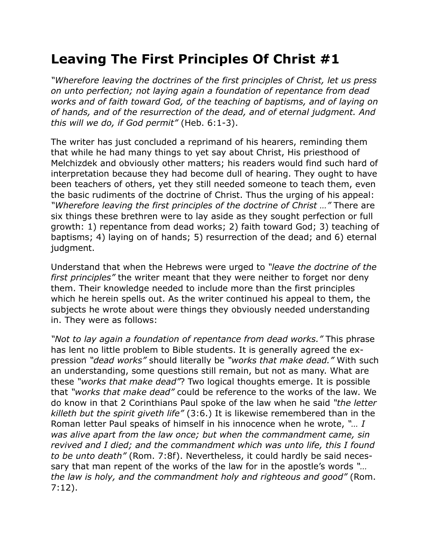## **Leaving The First Principles Of Christ #1**

*"Wherefore leaving the doctrines of the first principles of Christ, let us press on unto perfection; not laying again a foundation of repentance from dead works and of faith toward God, of the teaching of baptisms, and of laying on of hands, and of the resurrection of the dead, and of eternal judgment. And this will we do, if God permit"* (Heb. 6:1-3).

The writer has just concluded a reprimand of his hearers, reminding them that while he had many things to yet say about Christ, His priesthood of Melchizdek and obviously other matters; his readers would find such hard of interpretation because they had become dull of hearing. They ought to have been teachers of others, yet they still needed someone to teach them, even the basic rudiments of the doctrine of Christ. Thus the urging of his appeal: *"Wherefore leaving the first principles of the doctrine of Christ …"* There are six things these brethren were to lay aside as they sought perfection or full growth: 1) repentance from dead works; 2) faith toward God; 3) teaching of baptisms; 4) laying on of hands; 5) resurrection of the dead; and 6) eternal judgment.

Understand that when the Hebrews were urged to *"leave the doctrine of the first principles"* the writer meant that they were neither to forget nor deny them. Their knowledge needed to include more than the first principles which he herein spells out. As the writer continued his appeal to them, the subjects he wrote about were things they obviously needed understanding in. They were as follows:

*"Not to lay again a foundation of repentance from dead works."* This phrase has lent no little problem to Bible students. It is generally agreed the expression *"dead works"* should literally be *"works that make dead."* With such an understanding, some questions still remain, but not as many. What are these *"works that make dead"*? Two logical thoughts emerge. It is possible that *"works that make dead"* could be reference to the works of the law. We do know in that 2 Corinthians Paul spoke of the law when he said *"the letter killeth but the spirit giveth life"* (3:6.) It is likewise remembered than in the Roman letter Paul speaks of himself in his innocence when he wrote, *"… I was alive apart from the law once; but when the commandment came, sin revived and I died; and the commandment which was unto life, this I found to be unto death"* (Rom. 7:8f). Nevertheless, it could hardly be said necessary that man repent of the works of the law for in the apostle's words *"… the law is holy, and the commandment holy and righteous and good"* (Rom. 7:12).